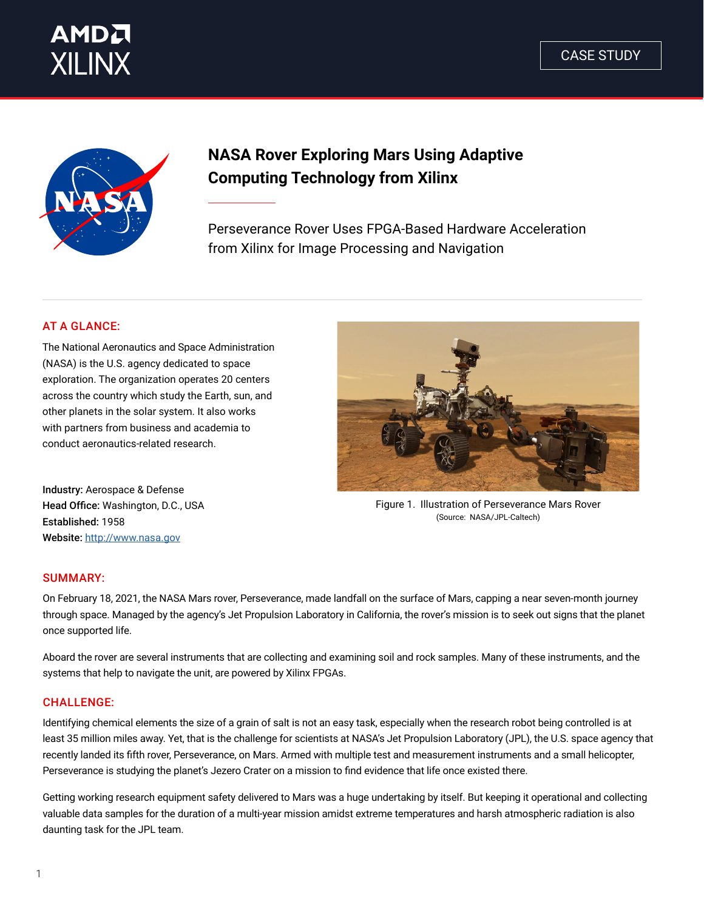





# **NASA Rover Exploring Mars Using Adaptive Computing Technology from Xilinx**

Perseverance Rover Uses FPGA-Based Hardware Acceleration from Xilinx for Image Processing and Navigation

### AT A GLANCE:

The National Aeronautics and Space Administration (NASA) is the U.S. agency dedicated to space exploration. The organization operates 20 centers across the country which study the Earth, sun, and other planets in the solar system. It also works with partners from business and academia to conduct aeronautics-related research.

Industry: Aerospace & Defense Head Office: Washington, D.C., USA Established: 1958 Website: [http://www.na](http://www.nasa.gov)sa.gov



Figure 1. Illustration of Perseverance Mars Rover (Source: NASA/JPL-Caltech)

#### SUMMARY:

On February 18, 2021, the NASA Mars rover, Perseverance, made landfall on the surface of Mars, capping a near seven-month journey through space. Managed by the agency's Jet Propulsion Laboratory in California, the rover's mission is to seek out signs that the planet once supported life.

Aboard the rover are several instruments that are collecting and examining soil and rock samples. Many of these instruments, and the systems that help to navigate the unit, are powered by Xilinx FPGAs.

#### **CHALLENGE:**

Identifying chemical elements the size of a grain of salt is not an easy task, especially when the research robot being controlled is at least 35 million miles away. Yet, that is the challenge for scientists at NASA's Jet Propulsion Laboratory (JPL), the U.S. space agency that recently landed its fifth rover, Perseverance, on Mars. Armed with multiple test and measurement instruments and a small helicopter, Perseverance is studying the planet's Jezero Crater on a mission to find evidence that life once existed there.

Getting working research equipment safety delivered to Mars was a huge undertaking by itself. But keeping it operational and collecting valuable data samples for the duration of a multi-year mission amidst extreme temperatures and harsh atmospheric radiation is also daunting task for the JPL team.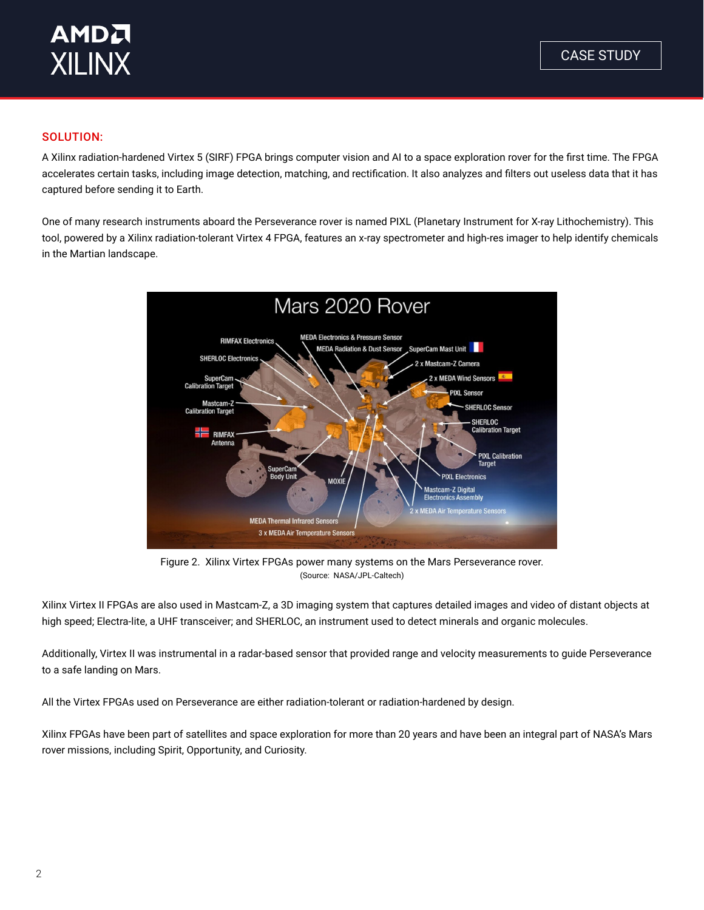

#### SOLUTION:

A Xilinx radiation-hardened Virtex 5 (SIRF) FPGA brings computer vision and AI to a space exploration rover for the first time. The FPGA accelerates certain tasks, including image detection, matching, and rectification. It also analyzes and filters out useless data that it has captured before sending it to Earth.

One of many research instruments aboard the Perseverance rover is named PIXL (Planetary Instrument for X-ray Lithochemistry). This tool, powered by a Xilinx radiation-tolerant Virtex 4 FPGA, features an x-ray spectrometer and high-res imager to help identify chemicals in the Martian landscape.



Figure 2. Xilinx Virtex FPGAs power many systems on the Mars Perseverance rover. (Source: NASA/JPL-Caltech)

Xilinx Virtex II FPGAs are also used in Mastcam-Z, a 3D imaging system that captures detailed images and video of distant objects at high speed; Electra-lite, a UHF transceiver; and SHERLOC, an instrument used to detect minerals and organic molecules.

Additionally, Virtex II was instrumental in a radar-based sensor that provided range and velocity measurements to guide Perseverance to a safe landing on Mars.

All the Virtex FPGAs used on Perseverance are either radiation-tolerant or radiation-hardened by design.

Xilinx FPGAs have been part of satellites and space exploration for more than 20 years and have been an integral part of NASA's Mars rover missions, including Spirit, Opportunity, and Curiosity.